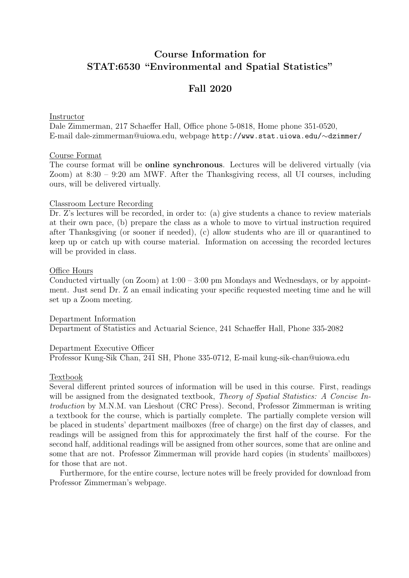# Course Information for STAT:6530 "Environmental and Spatial Statistics"

# Fall 2020

#### Instructor

Dale Zimmerman, 217 Schaeffer Hall, Office phone 5-0818, Home phone 351-0520, E-mail dale-zimmerman@uiowa.edu, webpage http://www.stat.uiowa.edu/∼dzimmer/

### Course Format

The course format will be online synchronous. Lectures will be delivered virtually (via Zoom) at 8:30 – 9:20 am MWF. After the Thanksgiving recess, all UI courses, including ours, will be delivered virtually.

#### Classroom Lecture Recording

Dr. Z's lectures will be recorded, in order to: (a) give students a chance to review materials at their own pace, (b) prepare the class as a whole to move to virtual instruction required after Thanksgiving (or sooner if needed), (c) allow students who are ill or quarantined to keep up or catch up with course material. Information on accessing the recorded lectures will be provided in class.

#### Office Hours

Conducted virtually (on Zoom) at  $1:00 - 3:00$  pm Mondays and Wednesdays, or by appointment. Just send Dr. Z an email indicating your specific requested meeting time and he will set up a Zoom meeting.

Department Information Department of Statistics and Actuarial Science, 241 Schaeffer Hall, Phone 335-2082

### Department Executive Officer

Professor Kung-Sik Chan, 241 SH, Phone 335-0712, E-mail kung-sik-chan@uiowa.edu

#### Textbook

Several different printed sources of information will be used in this course. First, readings will be assigned from the designated textbook, Theory of Spatial Statistics: A Concise Introduction by M.N.M. van Lieshout (CRC Press). Second, Professor Zimmerman is writing a textbook for the course, which is partially complete. The partially complete version will be placed in students' department mailboxes (free of charge) on the first day of classes, and readings will be assigned from this for approximately the first half of the course. For the second half, additional readings will be assigned from other sources, some that are online and some that are not. Professor Zimmerman will provide hard copies (in students' mailboxes) for those that are not.

Furthermore, for the entire course, lecture notes will be freely provided for download from Professor Zimmerman's webpage.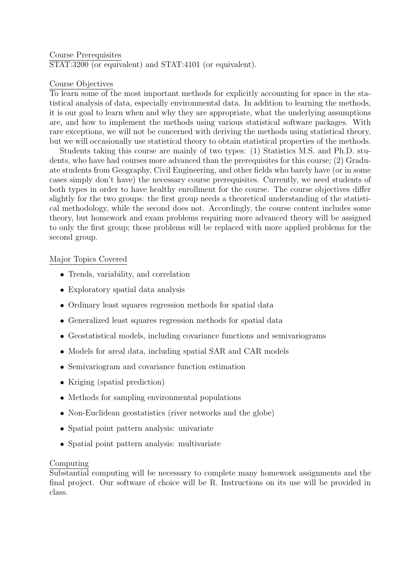#### Course Prerequisites STAT:3200 (or equivalent) and STAT:4101 (or equivalent).

# Course Objectives

To learn some of the most important methods for explicitly accounting for space in the statistical analysis of data, especially environmental data. In addition to learning the methods, it is our goal to learn when and why they are appropriate, what the underlying assumptions are, and how to implement the methods using various statistical software packages. With rare exceptions, we will not be concerned with deriving the methods using statistical theory, but we will occasionally use statistical theory to obtain statistical properties of the methods.

Students taking this course are mainly of two types: (1) Statistics M.S. and Ph.D. students, who have had courses more advanced than the prerequisites for this course; (2) Graduate students from Geography, Civil Engineering, and other fields who barely have (or in some cases simply don't have) the necessary course prerequisites. Currently, we need students of both types in order to have healthy enrollment for the course. The course objectives differ slightly for the two groups: the first group needs a theoretical understanding of the statistical methodology, while the second does not. Accordingly, the course content includes some theory, but homework and exam problems requiring more advanced theory will be assigned to only the first group; those problems will be replaced with more applied problems for the second group.

### Major Topics Covered

- Trends, variability, and correlation
- Exploratory spatial data analysis
- Ordinary least squares regression methods for spatial data
- Generalized least squares regression methods for spatial data
- Geostatistical models, including covariance functions and semivariograms
- Models for areal data, including spatial SAR and CAR models
- Semivariogram and covariance function estimation
- Kriging (spatial prediction)
- Methods for sampling environmental populations
- Non-Euclidean geostatistics (river networks and the globe)
- Spatial point pattern analysis: univariate
- Spatial point pattern analysis: multivariate

# Computing

Substantial computing will be necessary to complete many homework assignments and the final project. Our software of choice will be R. Instructions on its use will be provided in class.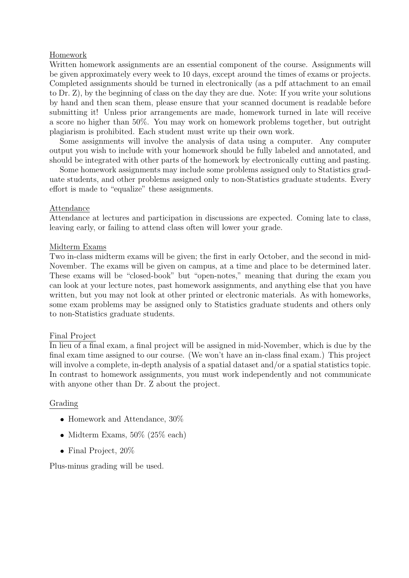### Homework

Written homework assignments are an essential component of the course. Assignments will be given approximately every week to 10 days, except around the times of exams or projects. Completed assignments should be turned in electronically (as a pdf attachment to an email to Dr. Z), by the beginning of class on the day they are due. Note: If you write your solutions by hand and then scan them, please ensure that your scanned document is readable before submitting it! Unless prior arrangements are made, homework turned in late will receive a score no higher than 50%. You may work on homework problems together, but outright plagiarism is prohibited. Each student must write up their own work.

Some assignments will involve the analysis of data using a computer. Any computer output you wish to include with your homework should be fully labeled and annotated, and should be integrated with other parts of the homework by electronically cutting and pasting.

Some homework assignments may include some problems assigned only to Statistics graduate students, and other problems assigned only to non-Statistics graduate students. Every effort is made to "equalize" these assignments.

### Attendance

Attendance at lectures and participation in discussions are expected. Coming late to class, leaving early, or failing to attend class often will lower your grade.

### Midterm Exams

Two in-class midterm exams will be given; the first in early October, and the second in mid-November. The exams will be given on campus, at a time and place to be determined later. These exams will be "closed-book" but "open-notes," meaning that during the exam you can look at your lecture notes, past homework assignments, and anything else that you have written, but you may not look at other printed or electronic materials. As with homeworks, some exam problems may be assigned only to Statistics graduate students and others only to non-Statistics graduate students.

# Final Project

In lieu of a final exam, a final project will be assigned in mid-November, which is due by the final exam time assigned to our course. (We won't have an in-class final exam.) This project will involve a complete, in-depth analysis of a spatial dataset and/or a spatial statistics topic. In contrast to homework assignments, you must work independently and not communicate with anyone other than Dr. Z about the project.

# Grading

- $\bullet$  Homework and Attendance,  $30\%$
- $\bullet$  Midterm Exams, 50% (25% each)
- Final Project, 20%

Plus-minus grading will be used.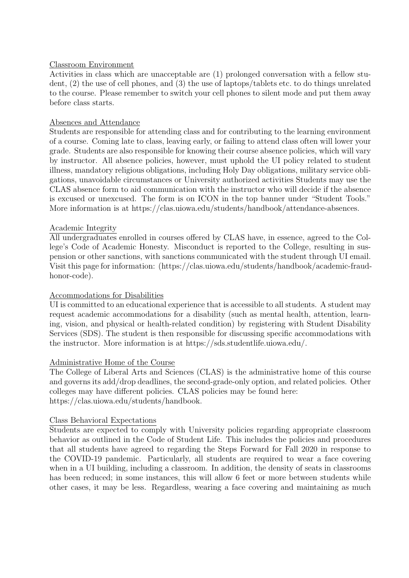### Classroom Environment

Activities in class which are unacceptable are (1) prolonged conversation with a fellow student, (2) the use of cell phones, and (3) the use of laptops/tablets etc. to do things unrelated to the course. Please remember to switch your cell phones to silent mode and put them away before class starts.

### Absences and Attendance

Students are responsible for attending class and for contributing to the learning environment of a course. Coming late to class, leaving early, or failing to attend class often will lower your grade. Students are also responsible for knowing their course absence policies, which will vary by instructor. All absence policies, however, must uphold the UI policy related to student illness, mandatory religious obligations, including Holy Day obligations, military service obligations, unavoidable circumstances or University authorized activities Students may use the CLAS absence form to aid communication with the instructor who will decide if the absence is excused or unexcused. The form is on ICON in the top banner under "Student Tools." More information is at https://clas.uiowa.edu/students/handbook/attendance-absences.

# Academic Integrity

All undergraduates enrolled in courses offered by CLAS have, in essence, agreed to the College's Code of Academic Honesty. Misconduct is reported to the College, resulting in suspension or other sanctions, with sanctions communicated with the student through UI email. Visit this page for information: (https://clas.uiowa.edu/students/handbook/academic-fraudhonor-code).

### Accommodations for Disabilities

UI is committed to an educational experience that is accessible to all students. A student may request academic accommodations for a disability (such as mental health, attention, learning, vision, and physical or health-related condition) by registering with Student Disability Services (SDS). The student is then responsible for discussing specific accommodations with the instructor. More information is at https://sds.studentlife.uiowa.edu/.

### Administrative Home of the Course

The College of Liberal Arts and Sciences (CLAS) is the administrative home of this course and governs its add/drop deadlines, the second-grade-only option, and related policies. Other colleges may have different policies. CLAS policies may be found here: https://clas.uiowa.edu/students/handbook.

### Class Behavioral Expectations

Students are expected to comply with University policies regarding appropriate classroom behavior as outlined in the Code of Student Life. This includes the policies and procedures that all students have agreed to regarding the Steps Forward for Fall 2020 in response to the COVID-19 pandemic. Particularly, all students are required to wear a face covering when in a UI building, including a classroom. In addition, the density of seats in classrooms has been reduced; in some instances, this will allow 6 feet or more between students while other cases, it may be less. Regardless, wearing a face covering and maintaining as much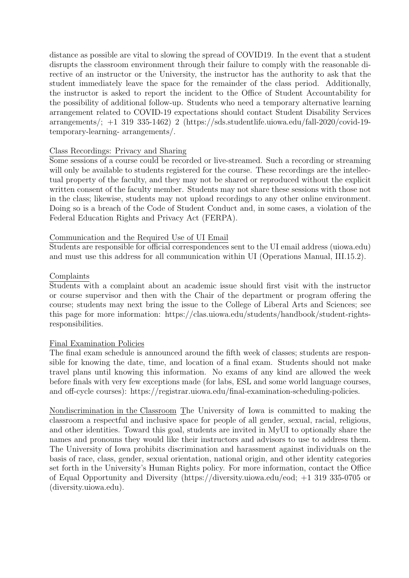distance as possible are vital to slowing the spread of COVID19. In the event that a student disrupts the classroom environment through their failure to comply with the reasonable directive of an instructor or the University, the instructor has the authority to ask that the student immediately leave the space for the remainder of the class period. Additionally, the instructor is asked to report the incident to the Office of Student Accountability for the possibility of additional follow-up. Students who need a temporary alternative learning arrangement related to COVID-19 expectations should contact Student Disability Services arrangements/; +1 319 335-1462) 2 (https://sds.studentlife.uiowa.edu/fall-2020/covid-19 temporary-learning- arrangements/.

### Class Recordings: Privacy and Sharing

Some sessions of a course could be recorded or live-streamed. Such a recording or streaming will only be available to students registered for the course. These recordings are the intellectual property of the faculty, and they may not be shared or reproduced without the explicit written consent of the faculty member. Students may not share these sessions with those not in the class; likewise, students may not upload recordings to any other online environment. Doing so is a breach of the Code of Student Conduct and, in some cases, a violation of the Federal Education Rights and Privacy Act (FERPA).

### Communication and the Required Use of UI Email

Students are responsible for official correspondences sent to the UI email address (uiowa.edu) and must use this address for all communication within UI (Operations Manual, III.15.2).

### Complaints

Students with a complaint about an academic issue should first visit with the instructor or course supervisor and then with the Chair of the department or program offering the course; students may next bring the issue to the College of Liberal Arts and Sciences; see this page for more information: https://clas.uiowa.edu/students/handbook/student-rightsresponsibilities.

### Final Examination Policies

The final exam schedule is announced around the fifth week of classes; students are responsible for knowing the date, time, and location of a final exam. Students should not make travel plans until knowing this information. No exams of any kind are allowed the week before finals with very few exceptions made (for labs, ESL and some world language courses, and off-cycle courses): https://registrar.uiowa.edu/final-examination-scheduling-policies.

Nondiscrimination in the Classroom The University of Iowa is committed to making the classroom a respectful and inclusive space for people of all gender, sexual, racial, religious, and other identities. Toward this goal, students are invited in MyUI to optionally share the names and pronouns they would like their instructors and advisors to use to address them. The University of Iowa prohibits discrimination and harassment against individuals on the basis of race, class, gender, sexual orientation, national origin, and other identity categories set forth in the University's Human Rights policy. For more information, contact the Office of Equal Opportunity and Diversity (https://diversity.uiowa.edu/eod; +1 319 335-0705 or (diversity.uiowa.edu).